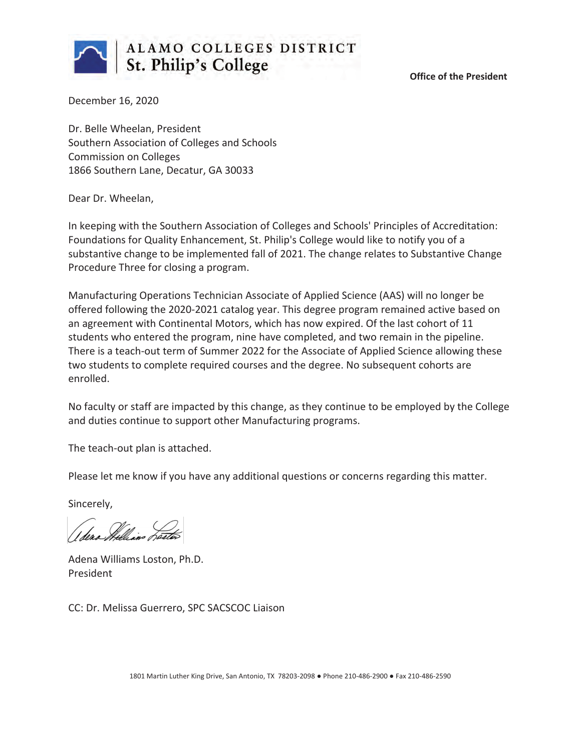

**Office of the President**

December 16, 2020

Dr. Belle Wheelan, President Southern Association of Colleges and Schools Commission on Colleges 1866 Southern Lane, Decatur, GA 30033

Dear Dr. Wheelan,

In keeping with the Southern Association of Colleges and Schools' Principles of Accreditation: Foundations for Quality Enhancement, St. Philip's College would like to notify you of a substantive change to be implemented fall of 2021. The change relates to Substantive Change Procedure Three for closing a program.

Manufacturing Operations Technician Associate of Applied Science (AAS) will no longer be offered following the 2020-2021 catalog year. This degree program remained active based on an agreement with Continental Motors, which has now expired. Of the last cohort of 11 students who entered the program, nine have completed, and two remain in the pipeline. There is a teach-out term of Summer 2022 for the Associate of Applied Science allowing these two students to complete required courses and the degree. No subsequent cohorts are enrolled.

No faculty or staff are impacted by this change, as they continue to be employed by the College and duties continue to support other Manufacturing programs.

The teach-out plan is attached.

Please let me know if you have any additional questions or concerns regarding this matter.

Sincerely,

(dera Milliano Terr

Adena Williams Loston, Ph.D. President

CC: Dr. Melissa Guerrero, SPC SACSCOC Liaison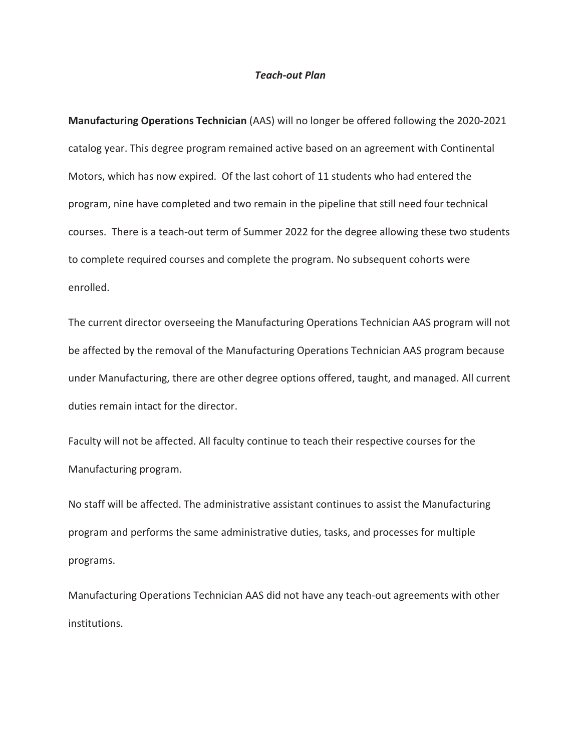#### *Teach-out Plan*

**Manufacturing Operations Technician** (AAS) will no longer be offered following the 2020-2021 catalog year. This degree program remained active based on an agreement with Continental Motors, which has now expired. Of the last cohort of 11 students who had entered the program, nine have completed and two remain in the pipeline that still need four technical courses. There is a teach-out term of Summer 2022 for the degree allowing these two students to complete required courses and complete the program. No subsequent cohorts were enrolled.

The current director overseeing the Manufacturing Operations Technician AAS program will not be affected by the removal of the Manufacturing Operations Technician AAS program because under Manufacturing, there are other degree options offered, taught, and managed. All current duties remain intact for the director.

Faculty will not be affected. All faculty continue to teach their respective courses for the Manufacturing program.

No staff will be affected. The administrative assistant continues to assist the Manufacturing program and performs the same administrative duties, tasks, and processes for multiple programs.

Manufacturing Operations Technician AAS did not have any teach-out agreements with other institutions.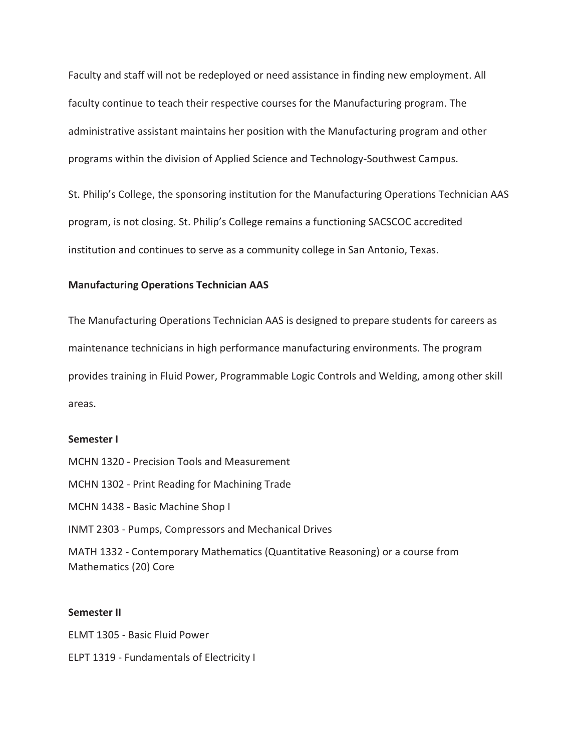Faculty and staff will not be redeployed or need assistance in finding new employment. All faculty continue to teach their respective courses for the Manufacturing program. The administrative assistant maintains her position with the Manufacturing program and other programs within the division of Applied Science and Technology-Southwest Campus.

St. Philip's College, the sponsoring institution for the Manufacturing Operations Technician AAS program, is not closing. St. Philip's College remains a functioning SACSCOC accredited institution and continues to serve as a community college in San Antonio, Texas.

### **Manufacturing Operations Technician AAS**

The Manufacturing Operations Technician AAS is designed to prepare students for careers as maintenance technicians in high performance manufacturing environments. The program provides training in Fluid Power, Programmable Logic Controls and Welding, among other skill areas.

### **Semester I**

- MCHN 1320 Precision Tools and Measurement
- MCHN 1302 Print Reading for Machining Trade
- MCHN 1438 Basic Machine Shop I
- INMT 2303 Pumps, Compressors and Mechanical Drives

MATH 1332 - Contemporary Mathematics (Quantitative Reasoning) or a course from Mathematics (20) Core

#### **Semester II**

ELMT 1305 - Basic Fluid Power ELPT 1319 - Fundamentals of Electricity I